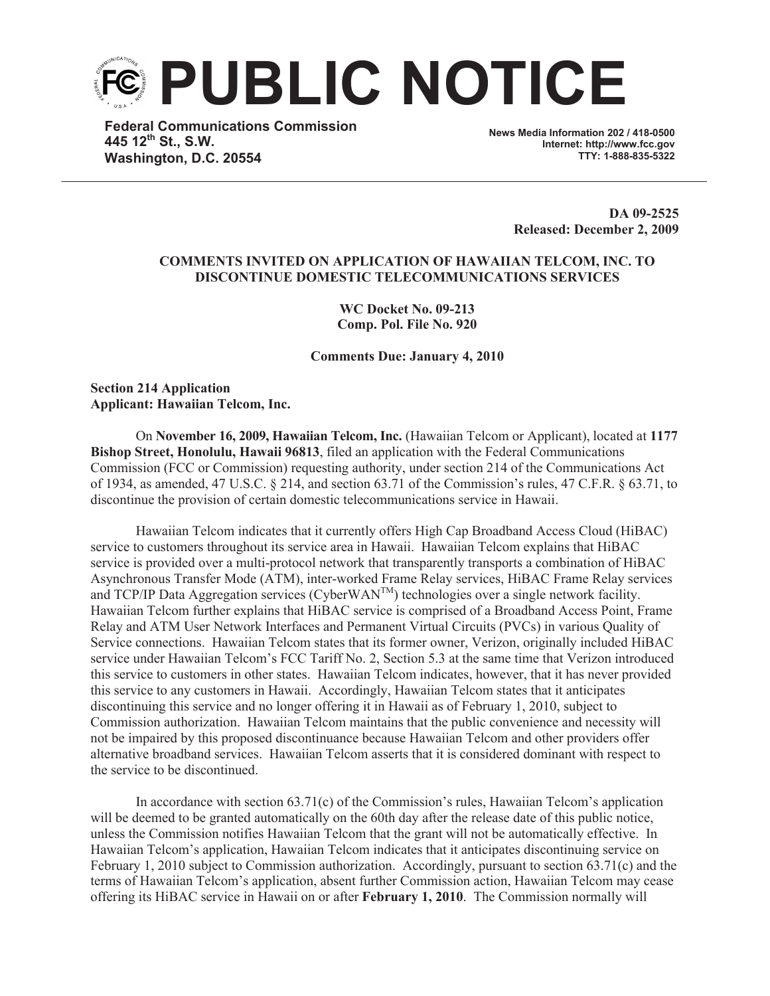

**Federal Communications Commission 445 12th St., S.W. Washington, D.C. 20554**

**News Media Information 202 / 418-0500 Internet: http://www.fcc.gov TTY: 1-888-835-5322**

> **DA 09-2525 Released: December 2, 2009**

## **COMMENTS INVITED ON APPLICATION OF HAWAIIAN TELCOM, INC. TO DISCONTINUE DOMESTIC TELECOMMUNICATIONS SERVICES**

**WC Docket No. 09-213 Comp. Pol. File No. 920**

**Comments Due: January 4, 2010**

**Section 214 Application Applicant: Hawaiian Telcom, Inc.**

On **November 16, 2009, Hawaiian Telcom, Inc.** (Hawaiian Telcom or Applicant), located at **1177 Bishop Street, Honolulu, Hawaii 96813**, filed an application with the Federal Communications Commission (FCC or Commission) requesting authority, under section 214 of the Communications Act of 1934, as amended, 47 U.S.C. § 214, and section 63.71 of the Commission's rules, 47 C.F.R. § 63.71, to discontinue the provision of certain domestic telecommunications service in Hawaii.

Hawaiian Telcom indicates that it currently offers High Cap Broadband Access Cloud (HiBAC) service to customers throughout its service area in Hawaii. Hawaiian Telcom explains that HiBAC service is provided over a multi-protocol network that transparently transports a combination of HiBAC Asynchronous Transfer Mode (ATM), inter-worked Frame Relay services, HiBAC Frame Relay services and TCP/IP Data Aggregation services (CyberWAN<sup>TM</sup>) technologies over a single network facility. Hawaiian Telcom further explains that HiBAC service is comprised of a Broadband Access Point, Frame Relay and ATM User Network Interfaces and Permanent Virtual Circuits (PVCs) in various Quality of Service connections. Hawaiian Telcom states that its former owner, Verizon, originally included HiBAC service under Hawaiian Telcom's FCC Tariff No. 2, Section 5.3 at the same time that Verizon introduced this service to customers in other states. Hawaiian Telcom indicates, however, that it has never provided this service to any customers in Hawaii. Accordingly, Hawaiian Telcom states that it anticipates discontinuing this service and no longer offering it in Hawaii as of February 1, 2010, subject to Commission authorization. Hawaiian Telcom maintains that the public convenience and necessity will not be impaired by this proposed discontinuance because Hawaiian Telcom and other providers offer alternative broadband services. Hawaiian Telcom asserts that it is considered dominant with respect to the service to be discontinued.

In accordance with section 63.71(c) of the Commission's rules, Hawaiian Telcom's application will be deemed to be granted automatically on the 60th day after the release date of this public notice, unless the Commission notifies Hawaiian Telcom that the grant will not be automatically effective. In Hawaiian Telcom's application, Hawaiian Telcom indicates that it anticipates discontinuing service on February 1, 2010 subject to Commission authorization. Accordingly, pursuant to section 63.71(c) and the terms of Hawaiian Telcom's application, absent further Commission action, Hawaiian Telcom may cease offering its HiBAC service in Hawaii on or after **February 1, 2010**. The Commission normally will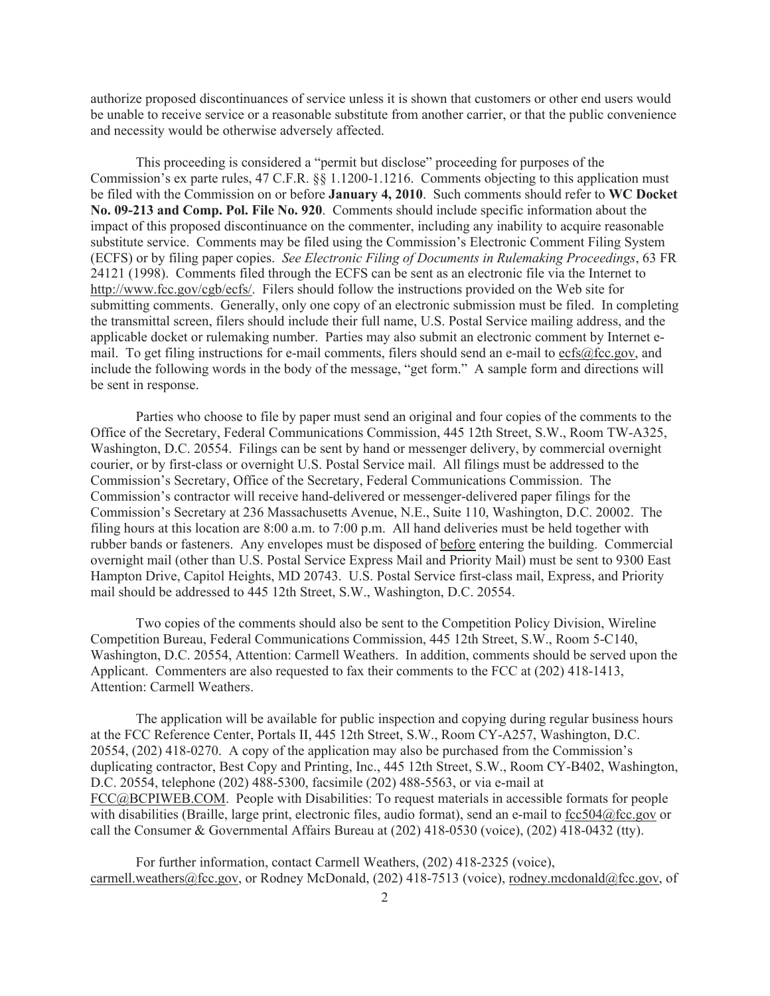authorize proposed discontinuances of service unless it is shown that customers or other end users would be unable to receive service or a reasonable substitute from another carrier, or that the public convenience and necessity would be otherwise adversely affected.

This proceeding is considered a "permit but disclose" proceeding for purposes of the Commission's ex parte rules, 47 C.F.R. §§ 1.1200-1.1216. Comments objecting to this application must be filed with the Commission on or before **January 4, 2010**. Such comments should refer to **WC Docket No. 09-213 and Comp. Pol. File No. 920**. Comments should include specific information about the impact of this proposed discontinuance on the commenter, including any inability to acquire reasonable substitute service. Comments may be filed using the Commission's Electronic Comment Filing System (ECFS) or by filing paper copies. *See Electronic Filing of Documents in Rulemaking Proceedings*, 63 FR 24121 (1998). Comments filed through the ECFS can be sent as an electronic file via the Internet to http://www.fcc.gov/cgb/ecfs/. Filers should follow the instructions provided on the Web site for submitting comments. Generally, only one copy of an electronic submission must be filed. In completing the transmittal screen, filers should include their full name, U.S. Postal Service mailing address, and the applicable docket or rulemaking number. Parties may also submit an electronic comment by Internet email. To get filing instructions for e-mail comments, filers should send an e-mail to ecfs@fcc.gov, and include the following words in the body of the message, "get form." A sample form and directions will be sent in response.

Parties who choose to file by paper must send an original and four copies of the comments to the Office of the Secretary, Federal Communications Commission, 445 12th Street, S.W., Room TW-A325, Washington, D.C. 20554. Filings can be sent by hand or messenger delivery, by commercial overnight courier, or by first-class or overnight U.S. Postal Service mail. All filings must be addressed to the Commission's Secretary, Office of the Secretary, Federal Communications Commission. The Commission's contractor will receive hand-delivered or messenger-delivered paper filings for the Commission's Secretary at 236 Massachusetts Avenue, N.E., Suite 110, Washington, D.C. 20002. The filing hours at this location are 8:00 a.m. to 7:00 p.m. All hand deliveries must be held together with rubber bands or fasteners. Any envelopes must be disposed of before entering the building. Commercial overnight mail (other than U.S. Postal Service Express Mail and Priority Mail) must be sent to 9300 East Hampton Drive, Capitol Heights, MD 20743. U.S. Postal Service first-class mail, Express, and Priority mail should be addressed to 445 12th Street, S.W., Washington, D.C. 20554.

Two copies of the comments should also be sent to the Competition Policy Division, Wireline Competition Bureau, Federal Communications Commission, 445 12th Street, S.W., Room 5-C140, Washington, D.C. 20554, Attention: Carmell Weathers. In addition, comments should be served upon the Applicant. Commenters are also requested to fax their comments to the FCC at (202) 418-1413, Attention: Carmell Weathers.

The application will be available for public inspection and copying during regular business hours at the FCC Reference Center, Portals II, 445 12th Street, S.W., Room CY-A257, Washington, D.C. 20554, (202) 418-0270. A copy of the application may also be purchased from the Commission's duplicating contractor, Best Copy and Printing, Inc., 445 12th Street, S.W., Room CY-B402, Washington, D.C. 20554, telephone (202) 488-5300, facsimile (202) 488-5563, or via e-mail at FCC@BCPIWEB.COM. People with Disabilities: To request materials in accessible formats for people with disabilities (Braille, large print, electronic files, audio format), send an e-mail to fcc504@fcc.gov or call the Consumer & Governmental Affairs Bureau at (202) 418-0530 (voice), (202) 418-0432 (tty).

For further information, contact Carmell Weathers, (202) 418-2325 (voice), carmell.weathers@fcc.gov, or Rodney McDonald, (202) 418-7513 (voice), rodney.mcdonald@fcc.gov, of